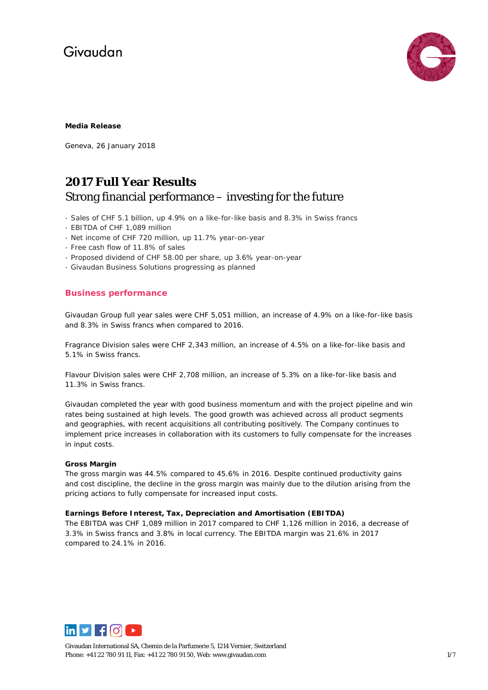

#### **Media Release**

Geneva, 26 January 2018

### **2017 Full Year Results** Strong financial performance – investing for the future

- Sales of CHF 5.1 billion, up 4.9% on a like-for-like basis and 8.3% in Swiss francs
- EBITDA of CHF 1,089 million
- Net income of CHF 720 million, up 11.7% year-on-year
- Free cash flow of 11.8% of sales
- Proposed dividend of CHF 58.00 per share, up 3.6% year-on-year
- Givaudan Business Solutions progressing as planned

### **Business performance**

Givaudan Group full year sales were CHF 5,051 million, an increase of 4.9% on a like-for-like basis and 8.3% in Swiss francs when compared to 2016.

Fragrance Division sales were CHF 2,343 million, an increase of 4.5% on a like-for-like basis and 5.1% in Swiss francs.

Flavour Division sales were CHF 2,708 million, an increase of 5.3% on a like-for-like basis and 11.3% in Swiss francs.

Givaudan completed the year with good business momentum and with the project pipeline and win rates being sustained at high levels. The good growth was achieved across all product segments and geographies, with recent acquisitions all contributing positively. The Company continues to implement price increases in collaboration with its customers to fully compensate for the increases in input costs.

#### **Gross Margin**

The gross margin was 44.5% compared to 45.6% in 2016. Despite continued productivity gains and cost discipline, the decline in the gross margin was mainly due to the dilution arising from the pricing actions to fully compensate for increased input costs.

#### **Earnings Before Interest, Tax, Depreciation and Amortisation (EBITDA)**

The EBITDA was CHF 1,089 million in 2017 compared to CHF 1,126 million in 2016, a decrease of 3.3% in Swiss francs and 3.8% in local currency. The EBITDA margin was 21.6% in 2017 compared to 24.1% in 2016.



Givaudan International SA, Chemin de la Parfumerie 5, 1214 Vernier, Switzerland Phone: +41 22 780 91 11, Fax: +41 22 780 91 50, Web[: www.givaudan.com](http://www.givaudan.com/) 1/7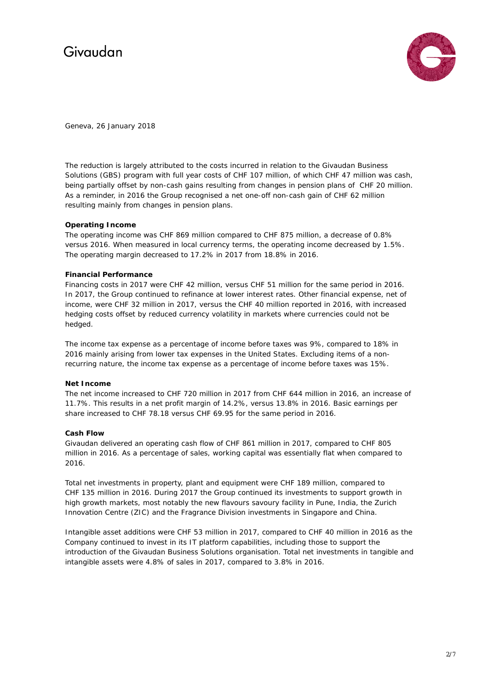

Geneva, 26 January 2018

The reduction is largely attributed to the costs incurred in relation to the Givaudan Business Solutions (GBS) program with full year costs of CHF 107 million, of which CHF 47 million was cash, being partially offset by non-cash gains resulting from changes in pension plans of CHF 20 million. As a reminder, in 2016 the Group recognised a net one-off non-cash gain of CHF 62 million resulting mainly from changes in pension plans.

#### **Operating Income**

The operating income was CHF 869 million compared to CHF 875 million, a decrease of 0.8% versus 2016. When measured in local currency terms, the operating income decreased by 1.5%. The operating margin decreased to 17.2% in 2017 from 18.8% in 2016.

#### **Financial Performance**

Financing costs in 2017 were CHF 42 million, versus CHF 51 million for the same period in 2016. In 2017, the Group continued to refinance at lower interest rates. Other financial expense, net of income, were CHF 32 million in 2017, versus the CHF 40 million reported in 2016, with increased hedging costs offset by reduced currency volatility in markets where currencies could not be hedged.

The income tax expense as a percentage of income before taxes was 9%, compared to 18% in 2016 mainly arising from lower tax expenses in the United States. Excluding items of a nonrecurring nature, the income tax expense as a percentage of income before taxes was 15%.

#### **Net Income**

The net income increased to CHF 720 million in 2017 from CHF 644 million in 2016, an increase of 11.7%. This results in a net profit margin of 14.2%, versus 13.8% in 2016. Basic earnings per share increased to CHF 78.18 versus CHF 69.95 for the same period in 2016.

#### **Cash Flow**

Givaudan delivered an operating cash flow of CHF 861 million in 2017, compared to CHF 805 million in 2016. As a percentage of sales, working capital was essentially flat when compared to 2016.

Total net investments in property, plant and equipment were CHF 189 million, compared to CHF 135 million in 2016. During 2017 the Group continued its investments to support growth in high growth markets, most notably the new flavours savoury facility in Pune, India, the Zurich Innovation Centre (ZIC) and the Fragrance Division investments in Singapore and China.

Intangible asset additions were CHF 53 million in 2017, compared to CHF 40 million in 2016 as the Company continued to invest in its IT platform capabilities, including those to support the introduction of the Givaudan Business Solutions organisation. Total net investments in tangible and intangible assets were 4.8% of sales in 2017, compared to 3.8% in 2016.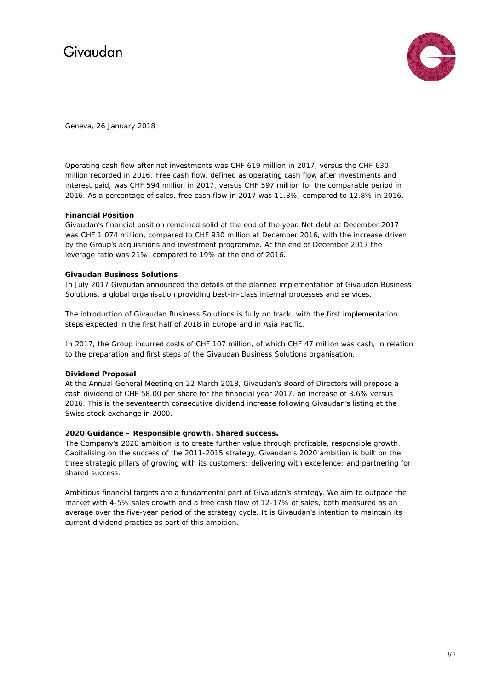

Geneva, 26 January 2018

Operating cash flow after net investments was CHF 619 million in 2017, versus the CHF 630 million recorded in 2016. Free cash flow, defined as operating cash flow after investments and interest paid, was CHF 594 million in 2017, versus CHF 597 million for the comparable period in 2016. As a percentage of sales, free cash flow in 2017 was 11.8%, compared to 12.8% in 2016.

#### **Financial Position**

Givaudan's financial position remained solid at the end of the year. Net debt at December 2017 was CHF 1,074 million, compared to CHF 930 million at December 2016, with the increase driven by the Group's acquisitions and investment programme. At the end of December 2017 the leverage ratio was 21%, compared to 19% at the end of 2016.

#### **Givaudan Business Solutions**

In July 2017 Givaudan announced the details of the planned implementation of Givaudan Business Solutions, a global organisation providing best-in-class internal processes and services.

The introduction of Givaudan Business Solutions is fully on track, with the first implementation steps expected in the first half of 2018 in Europe and in Asia Pacific.

In 2017, the Group incurred costs of CHF 107 million, of which CHF 47 million was cash, in relation to the preparation and first steps of the Givaudan Business Solutions organisation.

#### **Dividend Proposal**

At the Annual General Meeting on 22 March 2018, Givaudan's Board of Directors will propose a cash dividend of CHF 58.00 per share for the financial year 2017, an increase of 3.6% versus 2016. This is the seventeenth consecutive dividend increase following Givaudan's listing at the Swiss stock exchange in 2000.

#### **2020 Guidance – Responsible growth. Shared success.**

The Company's 2020 ambition is to create further value through profitable, responsible growth. Capitalising on the success of the 2011-2015 strategy, Givaudan's 2020 ambition is built on the three strategic pillars of growing with its customers; delivering with excellence; and partnering for shared success.

Ambitious financial targets are a fundamental part of Givaudan's strategy. We aim to outpace the market with 4-5% sales growth and a free cash flow of 12-17% of sales, both measured as an average over the five-year period of the strategy cycle. It is Givaudan's intention to maintain its current dividend practice as part of this ambition.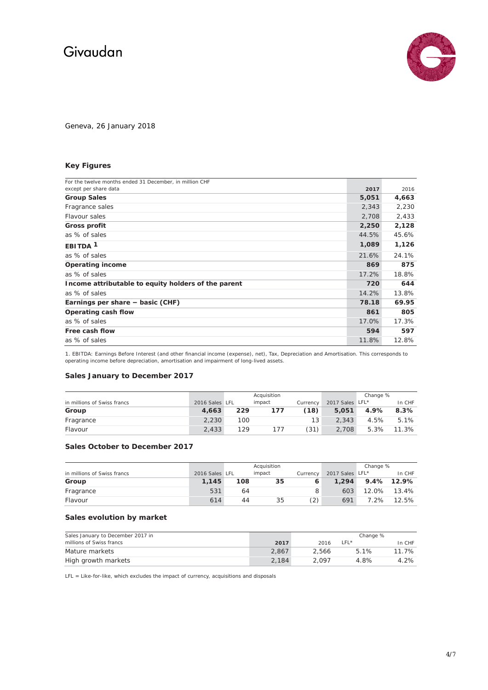

Geneva, 26 January 2018

### **Key Figures**

| For the twelve months ended 31 December, in million CHF |       |       |
|---------------------------------------------------------|-------|-------|
| except per share data                                   | 2017  | 2016  |
| <b>Group Sales</b>                                      | 5,051 | 4,663 |
| Fragrance sales                                         | 2,343 | 2,230 |
| Flavour sales                                           | 2,708 | 2,433 |
| Gross profit                                            | 2,250 | 2,128 |
| as % of sales                                           | 44.5% | 45.6% |
| EBITDA <sup>1</sup>                                     | 1,089 | 1,126 |
| as % of sales                                           | 21.6% | 24.1% |
| <b>Operating income</b>                                 | 869   | 875   |
| as % of sales                                           | 17.2% | 18.8% |
| Income attributable to equity holders of the parent     | 720   | 644   |
| as % of sales                                           | 14.2% | 13.8% |
| Earnings per share - basic (CHF)                        | 78.18 | 69.95 |
| Operating cash flow                                     | 861   | 805   |
| as % of sales                                           | 17.0% | 17.3% |
| Free cash flow                                          | 594   | 597   |
| as % of sales                                           | 11.8% | 12.8% |

1. EBITDA: Earnings Before Interest (and other financial income (expense), net), Tax, Depreciation and Amortisation. This corresponds to operating income before depreciation, amortisation and impairment of long-lived assets.

#### **Sales January to December 2017**

|                             | Acquisition    |     | Change % |                 |                 |      |        |
|-----------------------------|----------------|-----|----------|-----------------|-----------------|------|--------|
| in millions of Swiss francs | 2016 Sales LFL |     | impact   | Currency        | 2017 Sales LFL* |      | In CHF |
| Group                       | 4.663          | 229 | 177      | (18)            | 5.051           | 4.9% | 8.3%   |
| Fragrance                   | 2.230          | 100 |          | 13 <sup>1</sup> | 2.343           | 4.5% | 5.1%   |
| Flavour                     | 2.433          | 129 | 177      | (31)            | 2,708           | 5.3% | 11.3%  |

#### **Sales October to December 2017**

|                             |                | Acquisition |        |          | Change %        |         |             |
|-----------------------------|----------------|-------------|--------|----------|-----------------|---------|-------------|
| in millions of Swiss francs | 2016 Sales LFL |             | impact | Currency | 2017 Sales LFL* |         | In CHF      |
| Group                       | 1.145          | 108         | 35     |          | 1.294           |         | 9.4% 12.9%  |
| Fragrance                   | 531            | 64          |        | 8        | 603             |         | 12.0% 13.4% |
| Flavour                     | 614            | 44          | 35     | $^{(2)}$ | 691             | $7.2\%$ | 12.5%       |

#### **Sales evolution by market**

| Sales January to December 2017 in |       | Change % |        |        |  |
|-----------------------------------|-------|----------|--------|--------|--|
| millions of Swiss francs          | 2017  | 2016     | $LFL*$ | In CHF |  |
| Mature markets                    | 2.867 | 2.566    | 5.1%   | 11.7%  |  |
| High growth markets               | 2.184 | 2.097    | 4.8%   | 4.2%   |  |

LFL = Like-for-like, which excludes the impact of currency, acquisitions and disposals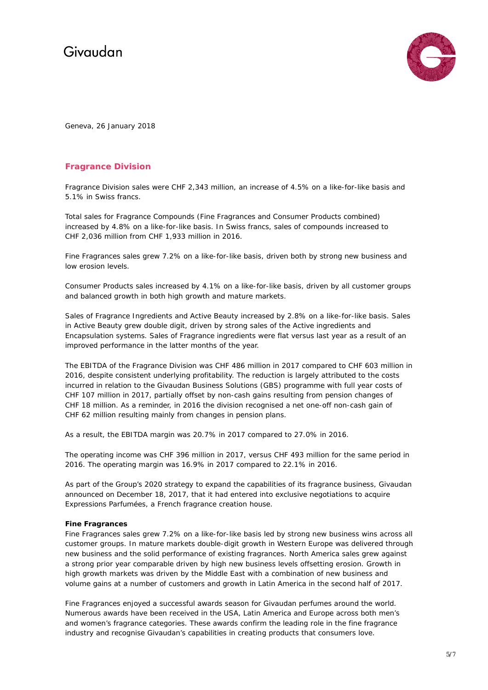

Geneva, 26 January 2018

### **Fragrance Division**

Fragrance Division sales were CHF 2,343 million, an increase of 4.5% on a like-for-like basis and 5.1% in Swiss francs.

Total sales for Fragrance Compounds (Fine Fragrances and Consumer Products combined) increased by 4.8% on a like-for-like basis. In Swiss francs, sales of compounds increased to CHF 2,036 million from CHF 1,933 million in 2016.

Fine Fragrances sales grew 7.2% on a like-for-like basis, driven both by strong new business and low erosion levels.

Consumer Products sales increased by 4.1% on a like-for-like basis, driven by all customer groups and balanced growth in both high growth and mature markets.

Sales of Fragrance Ingredients and Active Beauty increased by 2.8% on a like-for-like basis. Sales in Active Beauty grew double digit, driven by strong sales of the Active ingredients and Encapsulation systems. Sales of Fragrance ingredients were flat versus last year as a result of an improved performance in the latter months of the year.

The EBITDA of the Fragrance Division was CHF 486 million in 2017 compared to CHF 603 million in 2016, despite consistent underlying profitability. The reduction is largely attributed to the costs incurred in relation to the Givaudan Business Solutions (GBS) programme with full year costs of CHF 107 million in 2017, partially offset by non-cash gains resulting from pension changes of CHF 18 million. As a reminder, in 2016 the division recognised a net one-off non-cash gain of CHF 62 million resulting mainly from changes in pension plans.

As a result, the EBITDA margin was 20.7% in 2017 compared to 27.0% in 2016.

The operating income was CHF 396 million in 2017, versus CHF 493 million for the same period in 2016. The operating margin was 16.9% in 2017 compared to 22.1% in 2016.

As part of the Group's 2020 strategy to expand the capabilities of its fragrance business, Givaudan announced on December 18, 2017, that it had entered into exclusive negotiations to acquire Expressions Parfumées, a French fragrance creation house.

#### **Fine Fragrances**

Fine Fragrances sales grew 7.2% on a like-for-like basis led by strong new business wins across all customer groups. In mature markets double-digit growth in Western Europe was delivered through new business and the solid performance of existing fragrances. North America sales grew against a strong prior year comparable driven by high new business levels offsetting erosion. Growth in high growth markets was driven by the Middle East with a combination of new business and volume gains at a number of customers and growth in Latin America in the second half of 2017.

Fine Fragrances enjoyed a successful awards season for Givaudan perfumes around the world. Numerous awards have been received in the USA, Latin America and Europe across both men's and women's fragrance categories. These awards confirm the leading role in the fine fragrance industry and recognise Givaudan's capabilities in creating products that consumers love.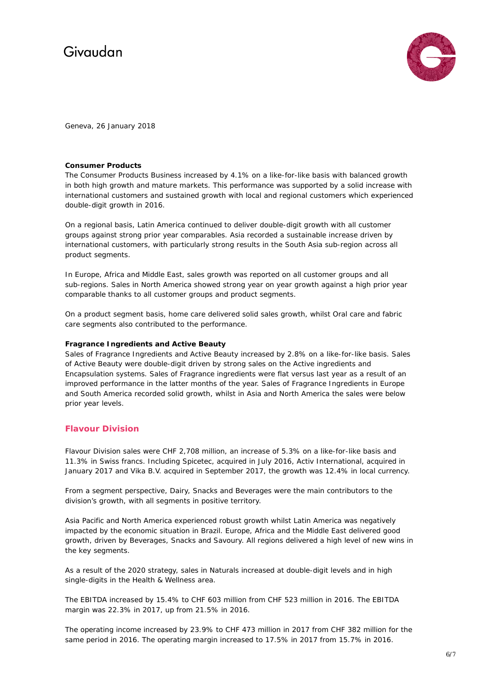

Geneva, 26 January 2018

#### **Consumer Products**

The Consumer Products Business increased by 4.1% on a like-for-like basis with balanced growth in both high growth and mature markets. This performance was supported by a solid increase with international customers and sustained growth with local and regional customers which experienced double-digit growth in 2016.

On a regional basis, Latin America continued to deliver double-digit growth with all customer groups against strong prior year comparables. Asia recorded a sustainable increase driven by international customers, with particularly strong results in the South Asia sub-region across all product segments.

In Europe, Africa and Middle East, sales growth was reported on all customer groups and all sub-regions. Sales in North America showed strong year on year growth against a high prior year comparable thanks to all customer groups and product segments.

On a product segment basis, home care delivered solid sales growth, whilst Oral care and fabric care segments also contributed to the performance.

#### **Fragrance Ingredients and Active Beauty**

Sales of Fragrance Ingredients and Active Beauty increased by 2.8% on a like-for-like basis. Sales of Active Beauty were double-digit driven by strong sales on the Active ingredients and Encapsulation systems. Sales of Fragrance ingredients were flat versus last year as a result of an improved performance in the latter months of the year. Sales of Fragrance Ingredients in Europe and South America recorded solid growth, whilst in Asia and North America the sales were below prior year levels.

### **Flavour Division**

Flavour Division sales were CHF 2,708 million, an increase of 5.3% on a like-for-like basis and 11.3% in Swiss francs. Including Spicetec, acquired in July 2016, Activ International, acquired in January 2017 and Vika B.V. acquired in September 2017, the growth was 12.4% in local currency.

From a segment perspective, Dairy, Snacks and Beverages were the main contributors to the division's growth, with all segments in positive territory.

Asia Pacific and North America experienced robust growth whilst Latin America was negatively impacted by the economic situation in Brazil. Europe, Africa and the Middle East delivered good growth, driven by Beverages, Snacks and Savoury. All regions delivered a high level of new wins in the key segments.

As a result of the 2020 strategy, sales in Naturals increased at double-digit levels and in high single-digits in the Health & Wellness area.

The EBITDA increased by 15.4% to CHF 603 million from CHF 523 million in 2016. The EBITDA margin was 22.3% in 2017, up from 21.5% in 2016.

The operating income increased by 23.9% to CHF 473 million in 2017 from CHF 382 million for the same period in 2016. The operating margin increased to 17.5% in 2017 from 15.7% in 2016.